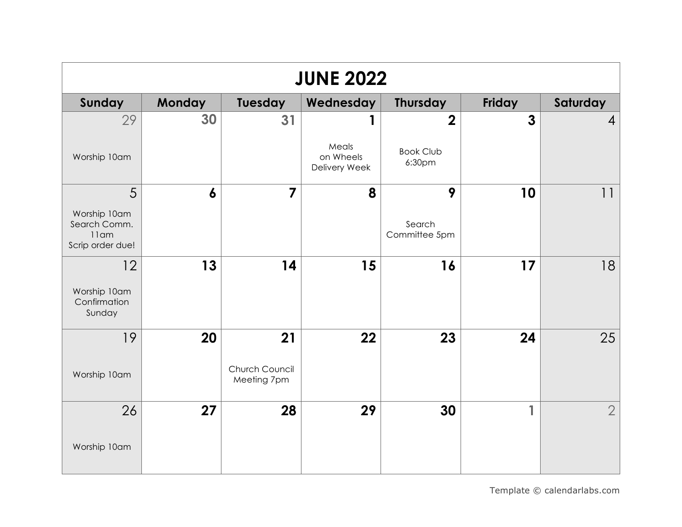| <b>JUNE 2022</b>                                            |                  |                               |                                     |                            |               |                |  |
|-------------------------------------------------------------|------------------|-------------------------------|-------------------------------------|----------------------------|---------------|----------------|--|
| Sunday                                                      | <b>Monday</b>    | <b>Tuesday</b>                | Wednesday                           | <b>Thursday</b>            | <b>Friday</b> | Saturday       |  |
| 29                                                          | 30               | 31                            |                                     | $\overline{2}$             | $\mathbf{3}$  | $\overline{4}$ |  |
| Worship 10am                                                |                  |                               | Meals<br>on Wheels<br>Delivery Week | <b>Book Club</b><br>6:30pm |               |                |  |
| 5                                                           | $\boldsymbol{6}$ | $\overline{7}$                | 8                                   | 9                          | 10            | 11             |  |
| Worship 10am<br>Search Comm.<br>$11$ am<br>Scrip order due! |                  |                               |                                     | Search<br>Committee 5pm    |               |                |  |
| 12                                                          | 13               | 14                            | 15                                  | 16                         | 17            | 18             |  |
| Worship 10am<br>Confirmation<br>Sunday                      |                  |                               |                                     |                            |               |                |  |
| 19                                                          | 20               | 21                            | 22                                  | 23                         | 24            | 25             |  |
| Worship 10am                                                |                  | Church Council<br>Meeting 7pm |                                     |                            |               |                |  |
| 26                                                          | 27               | 28                            | 29                                  | 30                         | 1             | $\overline{2}$ |  |
| Worship 10am                                                |                  |                               |                                     |                            |               |                |  |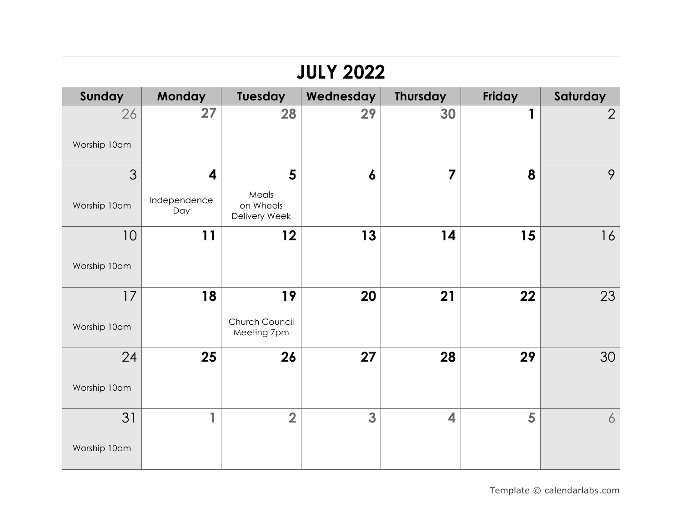| <b>JULY 2022</b>   |                     |                                     |                  |                         |        |                |  |
|--------------------|---------------------|-------------------------------------|------------------|-------------------------|--------|----------------|--|
| Sunday             | Monday              | Tuesday                             | Wednesday        | <b>Thursday</b>         | Friday | Saturday       |  |
| 26<br>Worship 10am | 27                  | 28                                  | 29               | 30                      | 1      | $\overline{2}$ |  |
| 3                  | 4                   | 5                                   | $\boldsymbol{6}$ | $\overline{\mathbf{z}}$ | 8      | 9              |  |
| Worship 10am       | Independence<br>Day | Meals<br>on Wheels<br>Delivery Week |                  |                         |        |                |  |
| 10                 | 11                  | 12                                  | 13               | 14                      | 15     | 16             |  |
| Worship 10am       |                     |                                     |                  |                         |        |                |  |
| 17                 | 18                  | 19                                  | 20               | 21                      | 22     | 23             |  |
| Worship 10am       |                     | Church Council<br>Meeting 7pm       |                  |                         |        |                |  |
| 24                 | 25                  | 26                                  | 27               | 28                      | 29     | 30             |  |
| Worship 10am       |                     |                                     |                  |                         |        |                |  |
| 31                 | 1                   | $\overline{\mathbf{2}}$             | 3                | 4                       | 5      | 6              |  |
| Worship 10am       |                     |                                     |                  |                         |        |                |  |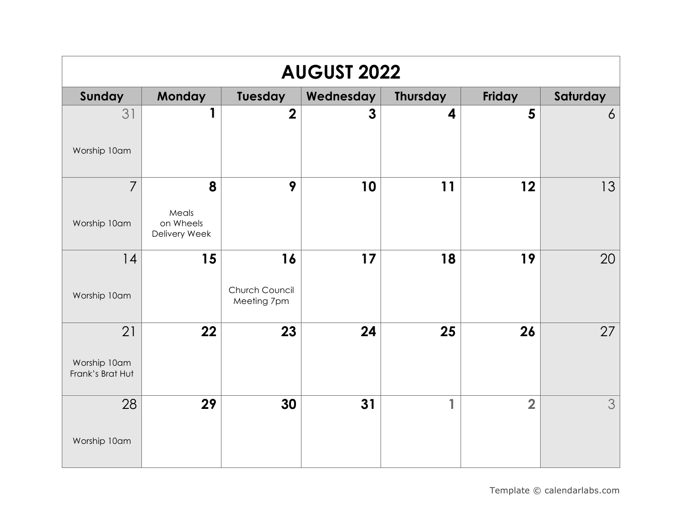| <b>AUGUST 2022</b>                     |                                          |                                     |                |                 |                |                |  |
|----------------------------------------|------------------------------------------|-------------------------------------|----------------|-----------------|----------------|----------------|--|
| Sunday                                 | Monday                                   | Tuesday                             | Wednesday      | <b>Thursday</b> | Friday         | Saturday       |  |
| 31<br>Worship 10am                     | 1                                        | $\overline{2}$                      | $\overline{3}$ | 4               | 5              | $\overline{6}$ |  |
| $\overline{7}$<br>Worship 10am         | 8<br>Meals<br>on Wheels<br>Delivery Week | 9                                   | 10             | 11              | 12             | 13             |  |
| 14<br>Worship 10am                     | 15                                       | 16<br>Church Council<br>Meeting 7pm | 17             | 18              | 19             | 20             |  |
| 21<br>Worship 10am<br>Frank's Brat Hut | 22                                       | 23                                  | 24             | 25              | 26             | 27             |  |
| 28<br>Worship 10am                     | 29                                       | 30                                  | 31             | 1               | $\overline{2}$ | 3              |  |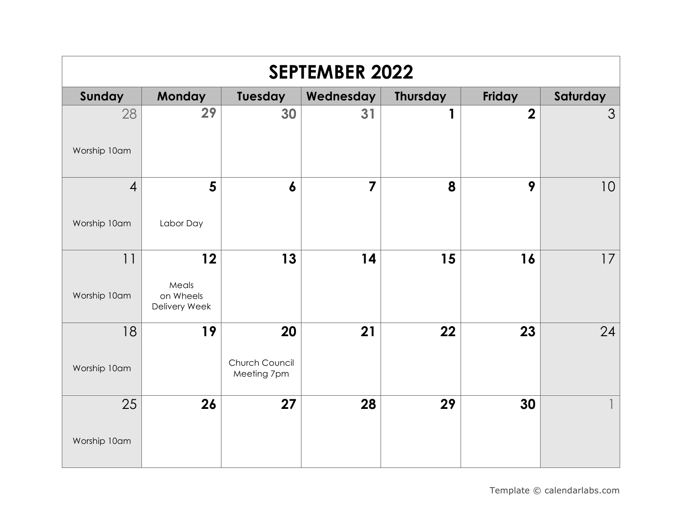| <b>SEPTEMBER 2022</b>          |                                           |                                     |                |                 |                |                 |  |
|--------------------------------|-------------------------------------------|-------------------------------------|----------------|-----------------|----------------|-----------------|--|
| Sunday                         | Monday                                    | Tuesday                             | Wednesday      | <b>Thursday</b> | Friday         | Saturday        |  |
| 28<br>Worship 10am             | 29                                        | 30                                  | 31             | 1               | $\overline{2}$ | 3               |  |
| $\overline{4}$<br>Worship 10am | 5<br>Labor Day                            | $\boldsymbol{6}$                    | $\overline{7}$ | 8               | 9              | 10 <sup>°</sup> |  |
| 11<br>Worship 10am             | 12<br>Meals<br>on Wheels<br>Delivery Week | 13                                  | 14             | 15              | 16             | 17              |  |
| 18<br>Worship 10am             | 19                                        | 20<br>Church Council<br>Meeting 7pm | 21             | 22              | 23             | 24              |  |
| 25<br>Worship 10am             | 26                                        | 27                                  | 28             | 29              | 30             |                 |  |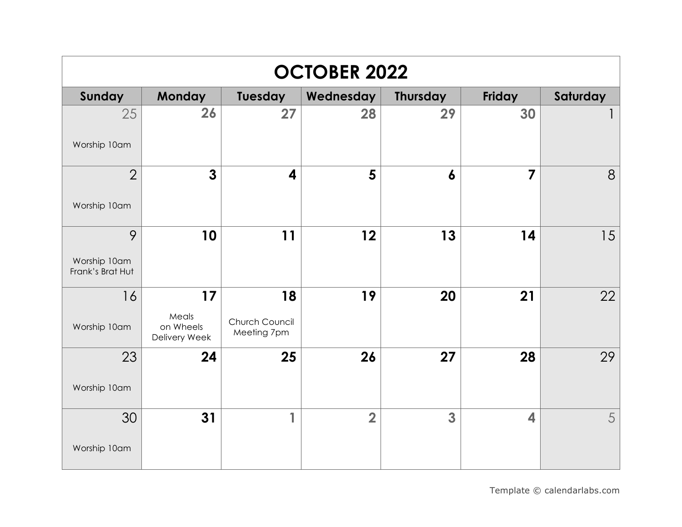| <b>OCTOBER 2022</b>                   |                                           |                                     |                |                  |        |          |  |
|---------------------------------------|-------------------------------------------|-------------------------------------|----------------|------------------|--------|----------|--|
| Sunday                                | <b>Monday</b>                             | Tuesday                             | Wednesday      | <b>Thursday</b>  | Friday | Saturday |  |
| 25<br>Worship 10am                    | 26                                        | 27                                  | 28             | 29               | 30     |          |  |
| $\overline{2}$<br>Worship 10am        | $\mathbf{3}$                              | $\overline{\mathbf{4}}$             | 5              | $\boldsymbol{6}$ | 7      | 8        |  |
| 9<br>Worship 10am<br>Frank's Brat Hut | 10                                        | 11                                  | 12             | 13               | 14     | 15       |  |
| 16<br>Worship 10am                    | 17<br>Meals<br>on Wheels<br>Delivery Week | 18<br>Church Council<br>Meeting 7pm | 19             | 20               | 21     | 22       |  |
| 23<br>Worship 10am                    | 24                                        | 25                                  | 26             | 27               | 28     | 29       |  |
| 30<br>Worship 10am                    | 31                                        | 1                                   | $\overline{2}$ | 3                | 4      | 5        |  |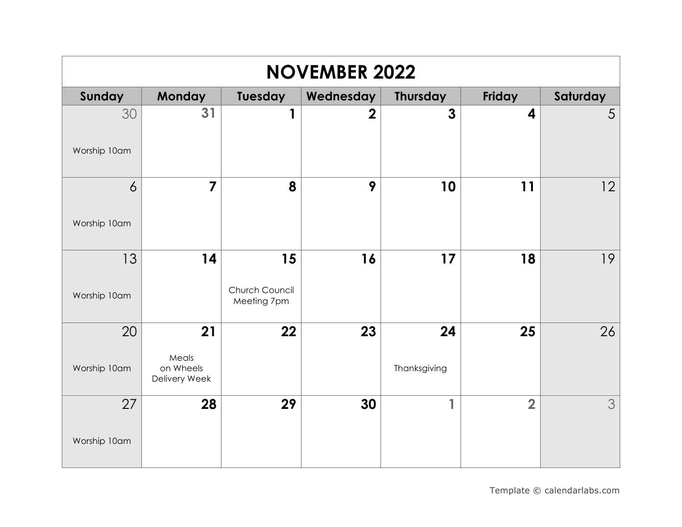| <b>NOVEMBER 2022</b>           |                                           |                                     |                |                    |                  |          |  |
|--------------------------------|-------------------------------------------|-------------------------------------|----------------|--------------------|------------------|----------|--|
| Sunday                         | <b>Monday</b>                             | Tuesday                             | Wednesday      | <b>Thursday</b>    | Friday           | Saturday |  |
| 30<br>Worship 10am             | 31                                        | 1                                   | $\overline{2}$ | $\overline{3}$     | $\boldsymbol{4}$ | 5        |  |
| $\overline{6}$<br>Worship 10am | $\overline{7}$                            | 8                                   | 9              | 10                 | 11               | 12       |  |
| 13<br>Worship 10am             | 14                                        | 15<br>Church Council<br>Meeting 7pm | 16             | 17                 | 18               | 19       |  |
| 20<br>Worship 10am             | 21<br>Meals<br>on Wheels<br>Delivery Week | 22                                  | 23             | 24<br>Thanksgiving | 25               | 26       |  |
| 27<br>Worship 10am             | 28                                        | 29                                  | 30             | 1                  | $\overline{2}$   | 3        |  |